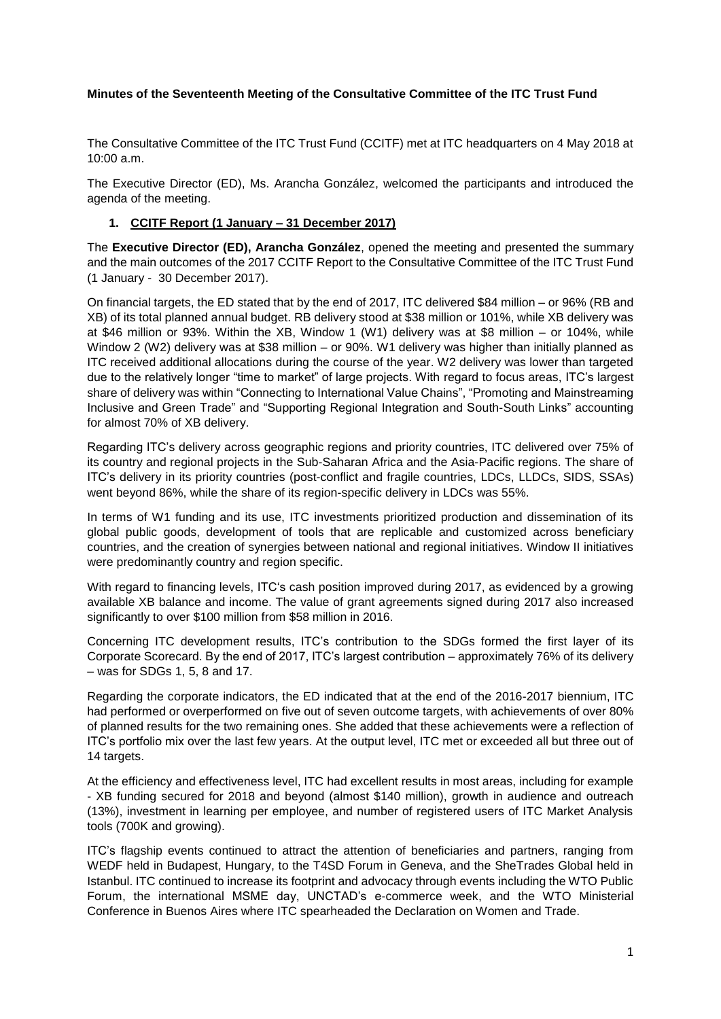#### **Minutes of the Seventeenth Meeting of the Consultative Committee of the ITC Trust Fund**

The Consultative Committee of the ITC Trust Fund (CCITF) met at ITC headquarters on 4 May 2018 at 10:00 a.m.

The Executive Director (ED), Ms. Arancha González, welcomed the participants and introduced the agenda of the meeting.

#### **1. CCITF Report (1 January – 31 December 2017)**

The **Executive Director (ED), Arancha González**, opened the meeting and presented the summary and the main outcomes of the 2017 CCITF Report to the Consultative Committee of the ITC Trust Fund (1 January - 30 December 2017).

On financial targets, the ED stated that by the end of 2017, ITC delivered \$84 million – or 96% (RB and XB) of its total planned annual budget. RB delivery stood at \$38 million or 101%, while XB delivery was at \$46 million or 93%. Within the XB, Window 1 (W1) delivery was at \$8 million – or 104%, while Window 2 (W2) delivery was at \$38 million – or 90%. W1 delivery was higher than initially planned as ITC received additional allocations during the course of the year. W2 delivery was lower than targeted due to the relatively longer "time to market" of large projects. With regard to focus areas, ITC's largest share of delivery was within "Connecting to International Value Chains", "Promoting and Mainstreaming Inclusive and Green Trade" and "Supporting Regional Integration and South-South Links" accounting for almost 70% of XB delivery.

Regarding ITC's delivery across geographic regions and priority countries, ITC delivered over 75% of its country and regional projects in the Sub-Saharan Africa and the Asia-Pacific regions. The share of ITC's delivery in its priority countries (post-conflict and fragile countries, LDCs, LLDCs, SIDS, SSAs) went beyond 86%, while the share of its region-specific delivery in LDCs was 55%.

In terms of W1 funding and its use, ITC investments prioritized production and dissemination of its global public goods, development of tools that are replicable and customized across beneficiary countries, and the creation of synergies between national and regional initiatives. Window II initiatives were predominantly country and region specific.

With regard to financing levels, ITC's cash position improved during 2017, as evidenced by a growing available XB balance and income. The value of grant agreements signed during 2017 also increased significantly to over \$100 million from \$58 million in 2016.

Concerning ITC development results, ITC's contribution to the SDGs formed the first layer of its Corporate Scorecard. By the end of 2017, ITC's largest contribution – approximately 76% of its delivery – was for SDGs 1, 5, 8 and 17.

Regarding the corporate indicators, the ED indicated that at the end of the 2016-2017 biennium, ITC had performed or overperformed on five out of seven outcome targets, with achievements of over 80% of planned results for the two remaining ones. She added that these achievements were a reflection of ITC's portfolio mix over the last few years. At the output level, ITC met or exceeded all but three out of 14 targets.

At the efficiency and effectiveness level, ITC had excellent results in most areas, including for example - XB funding secured for 2018 and beyond (almost \$140 million), growth in audience and outreach (13%), investment in learning per employee, and number of registered users of ITC Market Analysis tools (700K and growing).

ITC's flagship events continued to attract the attention of beneficiaries and partners, ranging from WEDF held in Budapest, Hungary, to the T4SD Forum in Geneva, and the SheTrades Global held in Istanbul. ITC continued to increase its footprint and advocacy through events including the WTO Public Forum, the international MSME day, UNCTAD's e-commerce week, and the WTO Ministerial Conference in Buenos Aires where ITC spearheaded the Declaration on Women and Trade.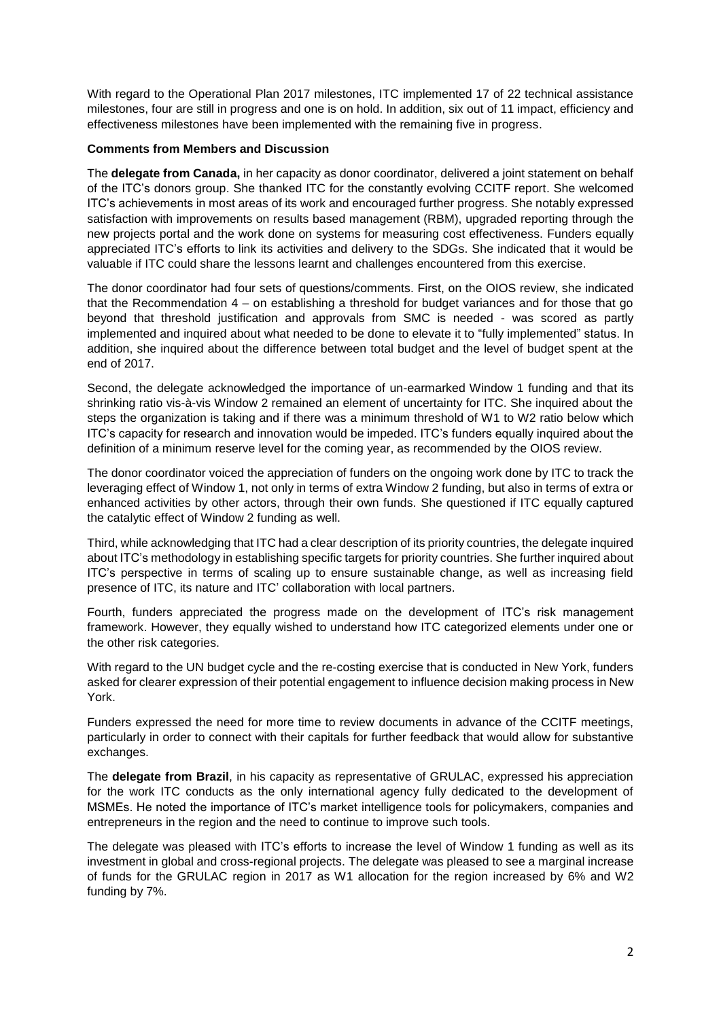With regard to the Operational Plan 2017 milestones, ITC implemented 17 of 22 technical assistance milestones, four are still in progress and one is on hold. In addition, six out of 11 impact, efficiency and effectiveness milestones have been implemented with the remaining five in progress.

#### **Comments from Members and Discussion**

The **delegate from Canada,** in her capacity as donor coordinator, delivered a joint statement on behalf of the ITC's donors group. She thanked ITC for the constantly evolving CCITF report. She welcomed ITC's achievements in most areas of its work and encouraged further progress. She notably expressed satisfaction with improvements on results based management (RBM), upgraded reporting through the new projects portal and the work done on systems for measuring cost effectiveness. Funders equally appreciated ITC's efforts to link its activities and delivery to the SDGs. She indicated that it would be valuable if ITC could share the lessons learnt and challenges encountered from this exercise.

The donor coordinator had four sets of questions/comments. First, on the OIOS review, she indicated that the Recommendation 4 – on establishing a threshold for budget variances and for those that go beyond that threshold justification and approvals from SMC is needed - was scored as partly implemented and inquired about what needed to be done to elevate it to "fully implemented" status. In addition, she inquired about the difference between total budget and the level of budget spent at the end of 2017.

Second, the delegate acknowledged the importance of un-earmarked Window 1 funding and that its shrinking ratio vis-à-vis Window 2 remained an element of uncertainty for ITC. She inquired about the steps the organization is taking and if there was a minimum threshold of W1 to W2 ratio below which ITC's capacity for research and innovation would be impeded. ITC's funders equally inquired about the definition of a minimum reserve level for the coming year, as recommended by the OIOS review.

The donor coordinator voiced the appreciation of funders on the ongoing work done by ITC to track the leveraging effect of Window 1, not only in terms of extra Window 2 funding, but also in terms of extra or enhanced activities by other actors, through their own funds. She questioned if ITC equally captured the catalytic effect of Window 2 funding as well.

Third, while acknowledging that ITC had a clear description of its priority countries, the delegate inquired about ITC's methodology in establishing specific targets for priority countries. She further inquired about ITC's perspective in terms of scaling up to ensure sustainable change, as well as increasing field presence of ITC, its nature and ITC' collaboration with local partners.

Fourth, funders appreciated the progress made on the development of ITC's risk management framework. However, they equally wished to understand how ITC categorized elements under one or the other risk categories.

With regard to the UN budget cycle and the re-costing exercise that is conducted in New York, funders asked for clearer expression of their potential engagement to influence decision making process in New York.

Funders expressed the need for more time to review documents in advance of the CCITF meetings, particularly in order to connect with their capitals for further feedback that would allow for substantive exchanges.

The **delegate from Brazil**, in his capacity as representative of GRULAC, expressed his appreciation for the work ITC conducts as the only international agency fully dedicated to the development of MSMEs. He noted the importance of ITC's market intelligence tools for policymakers, companies and entrepreneurs in the region and the need to continue to improve such tools.

The delegate was pleased with ITC's efforts to increase the level of Window 1 funding as well as its investment in global and cross-regional projects. The delegate was pleased to see a marginal increase of funds for the GRULAC region in 2017 as W1 allocation for the region increased by 6% and W2 funding by 7%.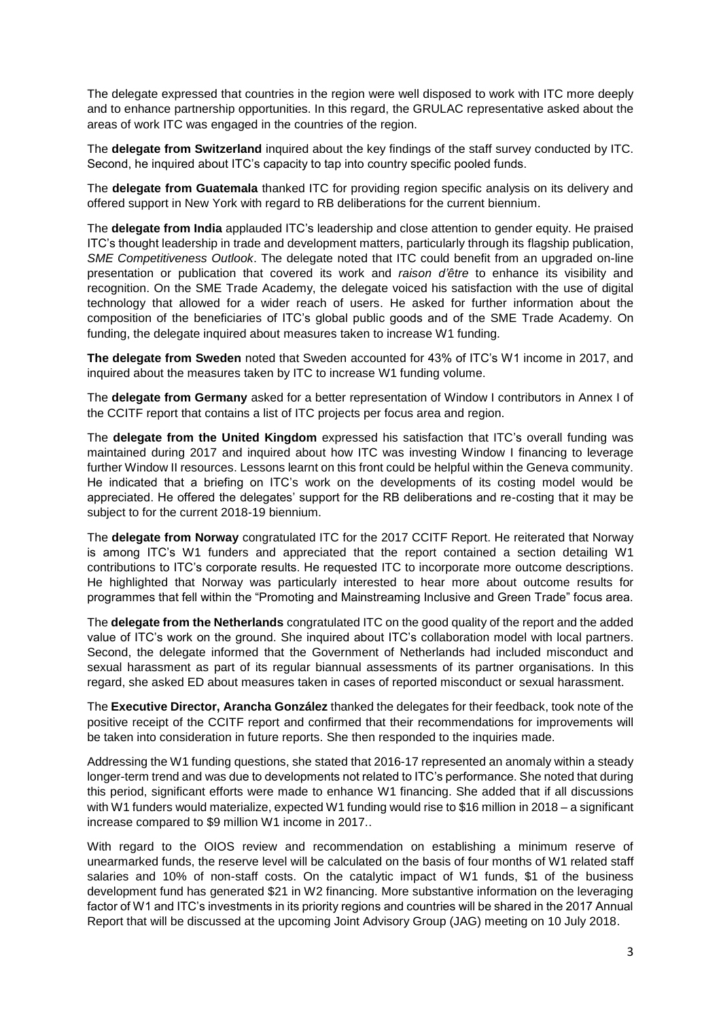The delegate expressed that countries in the region were well disposed to work with ITC more deeply and to enhance partnership opportunities. In this regard, the GRULAC representative asked about the areas of work ITC was engaged in the countries of the region.

The **delegate from Switzerland** inquired about the key findings of the staff survey conducted by ITC. Second, he inquired about ITC's capacity to tap into country specific pooled funds.

The **delegate from Guatemala** thanked ITC for providing region specific analysis on its delivery and offered support in New York with regard to RB deliberations for the current biennium.

The **delegate from India** applauded ITC's leadership and close attention to gender equity. He praised ITC's thought leadership in trade and development matters, particularly through its flagship publication, *SME Competitiveness Outlook*. The delegate noted that ITC could benefit from an upgraded on-line presentation or publication that covered its work and *raison d'être* to enhance its visibility and recognition. On the SME Trade Academy, the delegate voiced his satisfaction with the use of digital technology that allowed for a wider reach of users. He asked for further information about the composition of the beneficiaries of ITC's global public goods and of the SME Trade Academy. On funding, the delegate inquired about measures taken to increase W1 funding.

**The delegate from Sweden** noted that Sweden accounted for 43% of ITC's W1 income in 2017, and inquired about the measures taken by ITC to increase W1 funding volume.

The **delegate from Germany** asked for a better representation of Window I contributors in Annex I of the CCITF report that contains a list of ITC projects per focus area and region.

The **delegate from the United Kingdom** expressed his satisfaction that ITC's overall funding was maintained during 2017 and inquired about how ITC was investing Window I financing to leverage further Window II resources. Lessons learnt on this front could be helpful within the Geneva community. He indicated that a briefing on ITC's work on the developments of its costing model would be appreciated. He offered the delegates' support for the RB deliberations and re-costing that it may be subject to for the current 2018-19 biennium.

The **delegate from Norway** congratulated ITC for the 2017 CCITF Report. He reiterated that Norway is among ITC's W1 funders and appreciated that the report contained a section detailing W1 contributions to ITC's corporate results. He requested ITC to incorporate more outcome descriptions. He highlighted that Norway was particularly interested to hear more about outcome results for programmes that fell within the "Promoting and Mainstreaming Inclusive and Green Trade" focus area.

The **delegate from the Netherlands** congratulated ITC on the good quality of the report and the added value of ITC's work on the ground. She inquired about ITC's collaboration model with local partners. Second, the delegate informed that the Government of Netherlands had included misconduct and sexual harassment as part of its regular biannual assessments of its partner organisations. In this regard, she asked ED about measures taken in cases of reported misconduct or sexual harassment.

The **Executive Director, Arancha González** thanked the delegates for their feedback, took note of the positive receipt of the CCITF report and confirmed that their recommendations for improvements will be taken into consideration in future reports. She then responded to the inquiries made.

Addressing the W1 funding questions, she stated that 2016-17 represented an anomaly within a steady longer-term trend and was due to developments not related to ITC's performance. She noted that during this period, significant efforts were made to enhance W1 financing. She added that if all discussions with W1 funders would materialize, expected W1 funding would rise to \$16 million in 2018 – a significant increase compared to \$9 million W1 income in 2017..

With regard to the OIOS review and recommendation on establishing a minimum reserve of unearmarked funds, the reserve level will be calculated on the basis of four months of W1 related staff salaries and 10% of non-staff costs. On the catalytic impact of W1 funds, \$1 of the business development fund has generated \$21 in W2 financing. More substantive information on the leveraging factor of W1 and ITC's investments in its priority regions and countries will be shared in the 2017 Annual Report that will be discussed at the upcoming Joint Advisory Group (JAG) meeting on 10 July 2018.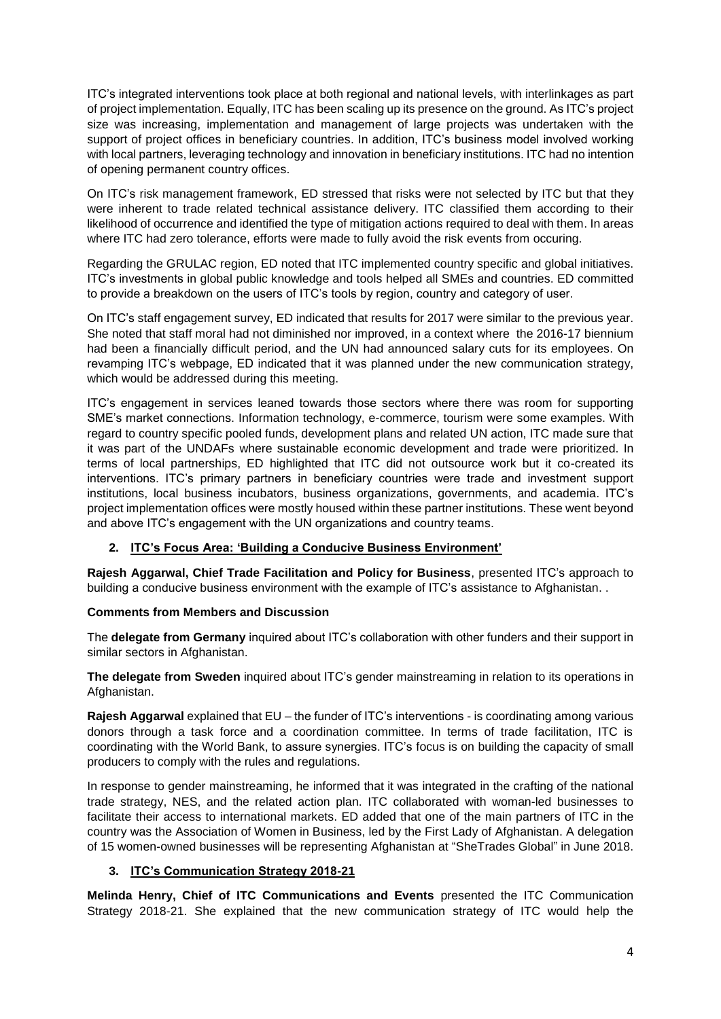ITC's integrated interventions took place at both regional and national levels, with interlinkages as part of project implementation. Equally, ITC has been scaling up its presence on the ground. As ITC's project size was increasing, implementation and management of large projects was undertaken with the support of project offices in beneficiary countries. In addition, ITC's business model involved working with local partners, leveraging technology and innovation in beneficiary institutions. ITC had no intention of opening permanent country offices.

On ITC's risk management framework, ED stressed that risks were not selected by ITC but that they were inherent to trade related technical assistance delivery. ITC classified them according to their likelihood of occurrence and identified the type of mitigation actions required to deal with them. In areas where ITC had zero tolerance, efforts were made to fully avoid the risk events from occuring.

Regarding the GRULAC region, ED noted that ITC implemented country specific and global initiatives. ITC's investments in global public knowledge and tools helped all SMEs and countries. ED committed to provide a breakdown on the users of ITC's tools by region, country and category of user.

On ITC's staff engagement survey, ED indicated that results for 2017 were similar to the previous year. She noted that staff moral had not diminished nor improved, in a context where the 2016-17 biennium had been a financially difficult period, and the UN had announced salary cuts for its employees. On revamping ITC's webpage, ED indicated that it was planned under the new communication strategy, which would be addressed during this meeting.

ITC's engagement in services leaned towards those sectors where there was room for supporting SME's market connections. Information technology, e-commerce, tourism were some examples. With regard to country specific pooled funds, development plans and related UN action, ITC made sure that it was part of the UNDAFs where sustainable economic development and trade were prioritized. In terms of local partnerships, ED highlighted that ITC did not outsource work but it co-created its interventions. ITC's primary partners in beneficiary countries were trade and investment support institutions, local business incubators, business organizations, governments, and academia. ITC's project implementation offices were mostly housed within these partner institutions. These went beyond and above ITC's engagement with the UN organizations and country teams.

# **2. ITC's Focus Area: 'Building a Conducive Business Environment'**

**Rajesh Aggarwal, Chief Trade Facilitation and Policy for Business**, presented ITC's approach to building a conducive business environment with the example of ITC's assistance to Afghanistan. .

# **Comments from Members and Discussion**

The **delegate from Germany** inquired about ITC's collaboration with other funders and their support in similar sectors in Afghanistan.

**The delegate from Sweden** inquired about ITC's gender mainstreaming in relation to its operations in Afghanistan.

**Rajesh Aggarwal** explained that EU – the funder of ITC's interventions - is coordinating among various donors through a task force and a coordination committee. In terms of trade facilitation, ITC is coordinating with the World Bank, to assure synergies. ITC's focus is on building the capacity of small producers to comply with the rules and regulations.

In response to gender mainstreaming, he informed that it was integrated in the crafting of the national trade strategy, NES, and the related action plan. ITC collaborated with woman-led businesses to facilitate their access to international markets. ED added that one of the main partners of ITC in the country was the Association of Women in Business, led by the First Lady of Afghanistan. A delegation of 15 women-owned businesses will be representing Afghanistan at "SheTrades Global" in June 2018.

# **3. ITC's Communication Strategy 2018-21**

**Melinda Henry, Chief of ITC Communications and Events** presented the ITC Communication Strategy 2018-21. She explained that the new communication strategy of ITC would help the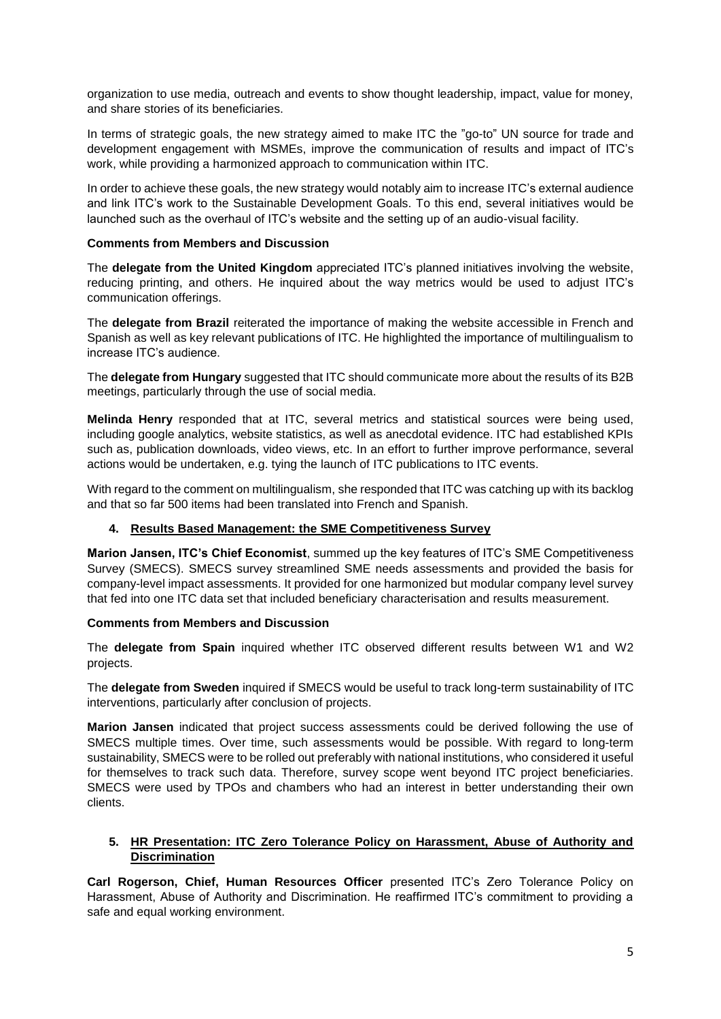organization to use media, outreach and events to show thought leadership, impact, value for money, and share stories of its beneficiaries.

In terms of strategic goals, the new strategy aimed to make ITC the "go-to" UN source for trade and development engagement with MSMEs, improve the communication of results and impact of ITC's work, while providing a harmonized approach to communication within ITC.

In order to achieve these goals, the new strategy would notably aim to increase ITC's external audience and link ITC's work to the Sustainable Development Goals. To this end, several initiatives would be launched such as the overhaul of ITC's website and the setting up of an audio-visual facility.

#### **Comments from Members and Discussion**

The **delegate from the United Kingdom** appreciated ITC's planned initiatives involving the website, reducing printing, and others. He inquired about the way metrics would be used to adjust ITC's communication offerings.

The **delegate from Brazil** reiterated the importance of making the website accessible in French and Spanish as well as key relevant publications of ITC. He highlighted the importance of multilingualism to increase ITC's audience.

The **delegate from Hungary** suggested that ITC should communicate more about the results of its B2B meetings, particularly through the use of social media.

**Melinda Henry** responded that at ITC, several metrics and statistical sources were being used, including google analytics, website statistics, as well as anecdotal evidence. ITC had established KPIs such as, publication downloads, video views, etc. In an effort to further improve performance, several actions would be undertaken, e.g. tying the launch of ITC publications to ITC events.

With regard to the comment on multilingualism, she responded that ITC was catching up with its backlog and that so far 500 items had been translated into French and Spanish.

# **4. Results Based Management: the SME Competitiveness Survey**

**Marion Jansen, ITC's Chief Economist**, summed up the key features of ITC's SME Competitiveness Survey (SMECS). SMECS survey streamlined SME needs assessments and provided the basis for company-level impact assessments. It provided for one harmonized but modular company level survey that fed into one ITC data set that included beneficiary characterisation and results measurement.

#### **Comments from Members and Discussion**

The **delegate from Spain** inquired whether ITC observed different results between W1 and W2 projects.

The **delegate from Sweden** inquired if SMECS would be useful to track long-term sustainability of ITC interventions, particularly after conclusion of projects.

**Marion Jansen** indicated that project success assessments could be derived following the use of SMECS multiple times. Over time, such assessments would be possible. With regard to long-term sustainability, SMECS were to be rolled out preferably with national institutions, who considered it useful for themselves to track such data. Therefore, survey scope went beyond ITC project beneficiaries. SMECS were used by TPOs and chambers who had an interest in better understanding their own clients.

#### **5. HR Presentation: ITC Zero Tolerance Policy on Harassment, Abuse of Authority and Discrimination**

**Carl Rogerson, Chief, Human Resources Officer** presented ITC's Zero Tolerance Policy on Harassment, Abuse of Authority and Discrimination. He reaffirmed ITC's commitment to providing a safe and equal working environment.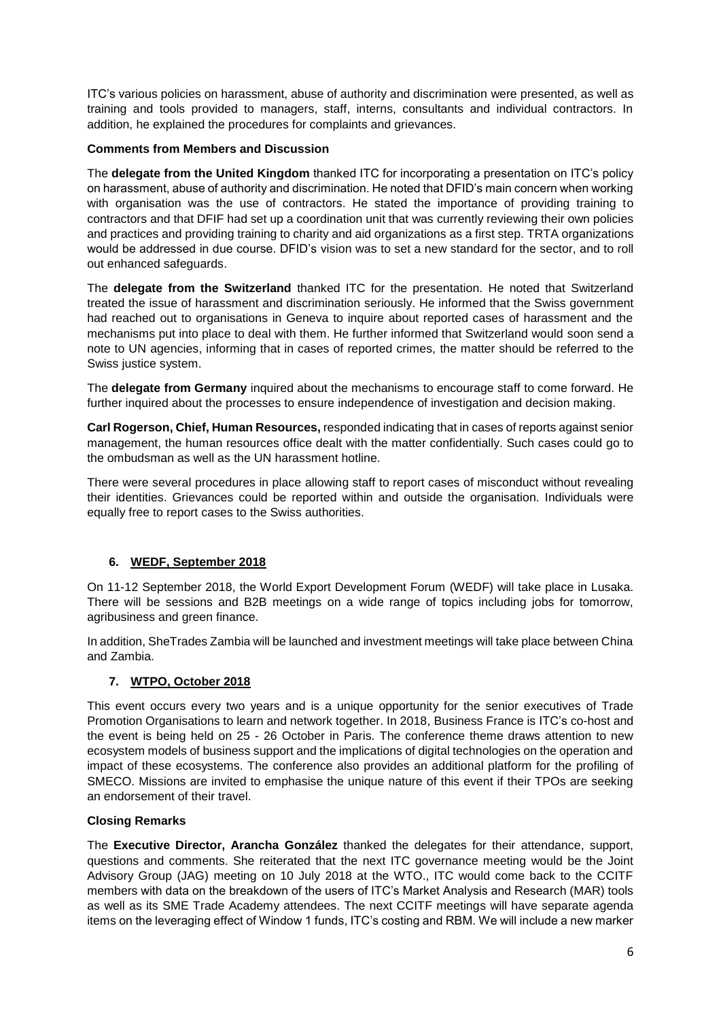ITC's various policies on harassment, abuse of authority and discrimination were presented, as well as training and tools provided to managers, staff, interns, consultants and individual contractors. In addition, he explained the procedures for complaints and grievances.

### **Comments from Members and Discussion**

The **delegate from the United Kingdom** thanked ITC for incorporating a presentation on ITC's policy on harassment, abuse of authority and discrimination. He noted that DFID's main concern when working with organisation was the use of contractors. He stated the importance of providing training to contractors and that DFIF had set up a coordination unit that was currently reviewing their own policies and practices and providing training to charity and aid organizations as a first step. TRTA organizations would be addressed in due course. DFID's vision was to set a new standard for the sector, and to roll out enhanced safeguards.

The **delegate from the Switzerland** thanked ITC for the presentation. He noted that Switzerland treated the issue of harassment and discrimination seriously. He informed that the Swiss government had reached out to organisations in Geneva to inquire about reported cases of harassment and the mechanisms put into place to deal with them. He further informed that Switzerland would soon send a note to UN agencies, informing that in cases of reported crimes, the matter should be referred to the Swiss justice system.

The **delegate from Germany** inquired about the mechanisms to encourage staff to come forward. He further inquired about the processes to ensure independence of investigation and decision making.

**Carl Rogerson, Chief, Human Resources,** responded indicating that in cases of reports against senior management, the human resources office dealt with the matter confidentially. Such cases could go to the ombudsman as well as the UN harassment hotline.

There were several procedures in place allowing staff to report cases of misconduct without revealing their identities. Grievances could be reported within and outside the organisation. Individuals were equally free to report cases to the Swiss authorities.

# **6. WEDF, September 2018**

On 11-12 September 2018, the World Export Development Forum (WEDF) will take place in Lusaka. There will be sessions and B2B meetings on a wide range of topics including jobs for tomorrow, agribusiness and green finance.

In addition, SheTrades Zambia will be launched and investment meetings will take place between China and Zambia.

# **7. WTPO, October 2018**

This event occurs every two years and is a unique opportunity for the senior executives of Trade Promotion Organisations to learn and network together. In 2018, Business France is ITC's co-host and the event is being held on 25 - 26 October in Paris. The conference theme draws attention to new ecosystem models of business support and the implications of digital technologies on the operation and impact of these ecosystems. The conference also provides an additional platform for the profiling of SMECO. Missions are invited to emphasise the unique nature of this event if their TPOs are seeking an endorsement of their travel.

#### **Closing Remarks**

The **Executive Director, Arancha González** thanked the delegates for their attendance, support, questions and comments. She reiterated that the next ITC governance meeting would be the Joint Advisory Group (JAG) meeting on 10 July 2018 at the WTO., ITC would come back to the CCITF members with data on the breakdown of the users of ITC's Market Analysis and Research (MAR) tools as well as its SME Trade Academy attendees. The next CCITF meetings will have separate agenda items on the leveraging effect of Window 1 funds, ITC's costing and RBM. We will include a new marker